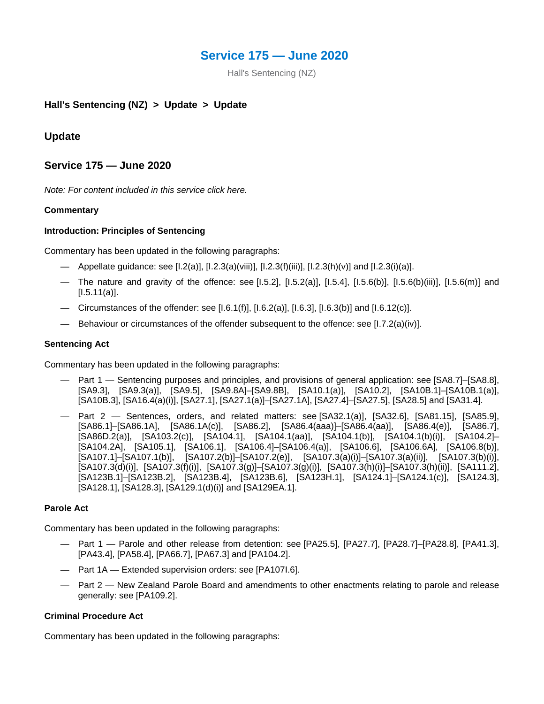# **Service 175 — June 2020**

Hall's Sentencing (NZ)

# **Hall's Sentencing (NZ) > Update > Update**

# **Update**

# **Service 175 — June 2020**

*Note: For content included in this service click here.*

## **Commentary**

## **Introduction: Principles of Sentencing**

Commentary has been updated in the following paragraphs:

- Appellate guidance: see [I.2(a)], [I.2.3(a)(viii)], [I.2.3(f)(iii)], [I.2.3(h)(v)] and [I.2.3(i)(a)].
- The nature and gravity of the offence: see [I.5.2], [I.5.2(a)], [I.5.4], [I.5.6(b)], [I.5.6(b)(iii)], [I.5.6(m)] and  $[1.5.11(a)].$
- Circumstances of the offender: see [I.6.1(f)], [I.6.2(a)], [I.6.3], [I.6.3(b)] and [I.6.12(c)].
- Behaviour or circumstances of the offender subsequent to the offence: see [I.7.2(a)(iv)].

#### **Sentencing Act**

Commentary has been updated in the following paragraphs:

- Part 1 Sentencing purposes and principles, and provisions of general application: see [SA8.7]–[SA8.8], [SA9.3], [SA9.3(a)], [SA9.5], [SA9.8A]–[SA9.8B], [SA10.1(a)], [SA10.2], [SA10B.1]–[SA10B.1(a)], [SA10B.3], [SA16.4(a)(i)], [SA27.1], [SA27.1(a)]–[SA27.1A], [SA27.4]–[SA27.5], [SA28.5] and [SA31.4].
- Part 2 Sentences, orders, and related matters: see [SA32.1(a)], [SA32.6], [SA81.15], [SA85.9], [SA86.1]–[SA86.1A], [SA86.1A(c)], [SA86.2], [SA86.4(aaa)]–[SA86.4(aa)], [SA86.4(e)], [SA86.7], [SA86D.2(a)], [SA103.2(c)], [SA104.1], [SA104.1(aa)], [SA104.1(b)], [SA104.1(b)(i)], [SA104.2]– [SA104.2A], [SA105.1], [SA106.1], [SA106.4]–[SA106.4(a)], [SA106.6], [SA106.6A], [SA106.8(b)], [SA107.1]–[SA107.1(b)], [SA107.2(b)]–[SA107.2(e)], [SA107.3(a)(i)]–[SA107.3(a)(ii)], [SA107.3(b)(i)], [SA107.3(d)(i)], [SA107.3(f)(i)], [SA107.3(g)]–[SA107.3(g)(i)], [SA107.3(h)(i)]–[SA107.3(h)(ii)], [SA111.2], [SA123B.1]–[SA123B.2], [SA123B.4], [SA123B.6], [SA123H.1], [SA124.1]–[SA124.1(c)], [SA124.3], [SA128.1], [SA128.3], [SA129.1(d)(i)] and [SA129EA.1].

## **Parole Act**

Commentary has been updated in the following paragraphs:

- Part 1 Parole and other release from detention: see [PA25.5], [PA27.7], [PA28.7]–[PA28.8], [PA41.3], [PA43.4], [PA58.4], [PA66.7], [PA67.3] and [PA104.2].
- Part 1A Extended supervision orders: see [PA107I.6].
- Part 2 New Zealand Parole Board and amendments to other enactments relating to parole and release generally: see [PA109.2].

#### **Criminal Procedure Act**

Commentary has been updated in the following paragraphs: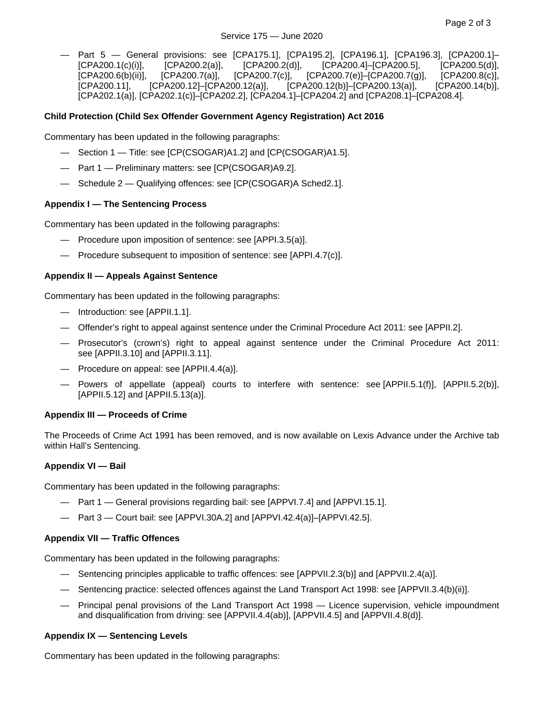— Part 5 — General provisions: see [CPA175.1], [CPA195.2], [CPA196.1], [CPA196.3], [CPA200.1]– [CPA200.1(c)(i)], [CPA200.2(a)], [CPA200.2(d)], [CPA200.4]–[CPA200.5], [CPA200.5(d)],<br>[CPA200.6(b)(ii)], [CPA200.7(a)], [CPA200.7(c)], [CPA200.7(e)]–[CPA200.7(g)], [CPA200.8(c)], [CPA200.6(b)(ii)], [CPA200.7(a)], [CPA200.7(c)], [CPA200.7(e)]–[CPA200.7(g)], [CPA200.8(c)], [CPA200.11], [CPA200.12]–[CPA200.12(a)], [CPA200.12(b)]–[CPA200.13(a)], [CPA200.14(b)], [CPA202.1(a)], [CPA202.1(c)]–[CPA202.2], [CPA204.1]–[CPA204.2] and [CPA208.1]–[CPA208.4].

## **Child Protection (Child Sex Offender Government Agency Registration) Act 2016**

Commentary has been updated in the following paragraphs:

- Section 1 Title: see [CP(CSOGAR)A1.2] and [CP(CSOGAR)A1.5].
- Part 1 Preliminary matters: see [CP(CSOGAR)A9.2].
- Schedule 2 Qualifying offences: see [CP(CSOGAR)A Sched2.1].

#### **Appendix I — The Sentencing Process**

Commentary has been updated in the following paragraphs:

- Procedure upon imposition of sentence: see [APPI.3.5(a)].
- Procedure subsequent to imposition of sentence: see [APPI.4.7(c)].

#### **Appendix II — Appeals Against Sentence**

Commentary has been updated in the following paragraphs:

- Introduction: see [APPII.1.1].
- Offender's right to appeal against sentence under the Criminal Procedure Act 2011: see [APPII.2].
- Prosecutor's (crown's) right to appeal against sentence under the Criminal Procedure Act 2011: see [APPII.3.10] and [APPII.3.11].
- Procedure on appeal: see [APPII.4.4(a)].
- Powers of appellate (appeal) courts to interfere with sentence: see [APPII.5.1(f)], [APPII.5.2(b)], [APPII.5.12] and [APPII.5.13(a)].

#### **Appendix III — Proceeds of Crime**

The Proceeds of Crime Act 1991 has been removed, and is now available on Lexis Advance under the Archive tab within Hall's Sentencing.

#### **Appendix VI — Bail**

Commentary has been updated in the following paragraphs:

- Part 1 General provisions regarding bail: see [APPVI.7.4] and [APPVI.15.1].
- Part 3 Court bail: see [APPVI.30A.2] and [APPVI.42.4(a)]–[APPVI.42.5].

#### **Appendix VII — Traffic Offences**

Commentary has been updated in the following paragraphs:

- Sentencing principles applicable to traffic offences: see [APPVII.2.3(b)] and [APPVII.2.4(a)].
- Sentencing practice: selected offences against the Land Transport Act 1998: see [APPVII.3.4(b)(ii)].
- Principal penal provisions of the Land Transport Act 1998 Licence supervision, vehicle impoundment and disqualification from driving: see [APPVII.4.4(ab)], [APPVII.4.5] and [APPVII.4.8(d)].

#### **Appendix IX — Sentencing Levels**

Commentary has been updated in the following paragraphs: